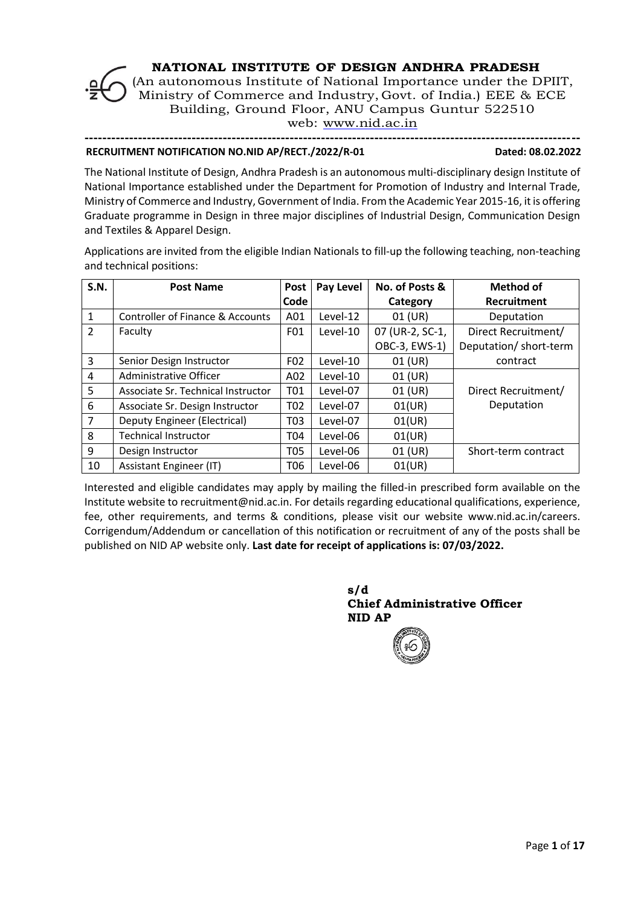

web: [www.nid.ac.in](http://www.nid.ac.in/)

#### **--------------------------------------------------------------------------------------------------------------- RECRUITMENT NOTIFICATION NO.NID AP/RECT./2022/R-01 Dated: 08.02.2022**

The National Institute of Design, Andhra Pradesh is an autonomous multi-disciplinary design Institute of National Importance established under the Department for Promotion of Industry and Internal Trade, Ministry of Commerce and Industry, Government of India. From the Academic Year 2015-16, it is offering Graduate programme in Design in three major disciplines of Industrial Design, Communication Design and Textiles & Apparel Design.

Applications are invited from the eligible Indian Nationals to fill-up the following teaching, non-teaching and technical positions:

| <b>S.N.</b>    | <b>Post Name</b>                   | <b>Post</b>     | <b>Pay Level</b> | No. of Posts &  | Method of              |
|----------------|------------------------------------|-----------------|------------------|-----------------|------------------------|
|                |                                    | Code            |                  | Category        | Recruitment            |
| 1              | Controller of Finance & Accounts   | A01             | Level-12         | 01 (UR)         | Deputation             |
| $\overline{2}$ | Faculty                            | F01             | Level-10         | 07 (UR-2, SC-1, | Direct Recruitment/    |
|                |                                    |                 |                  | OBC-3, EWS-1)   | Deputation/ short-term |
| 3              | Senior Design Instructor           | F <sub>02</sub> | Level-10         | 01 (UR)         | contract               |
| 4              | Administrative Officer             | A02             | Level-10         | $01$ (UR)       |                        |
| 5              | Associate Sr. Technical Instructor | T01             | Level-07         | $01$ (UR)       | Direct Recruitment/    |
| 6              | Associate Sr. Design Instructor    | T02             | Level-07         | 01(UR)          | Deputation             |
| $\overline{7}$ | Deputy Engineer (Electrical)       | T03             | Level-07         | 01(UR)          |                        |
| 8              | <b>Technical Instructor</b>        | T04             | Level-06         | 01(UR)          |                        |
| 9              | Design Instructor                  | T05             | Level-06         | $01$ (UR)       | Short-term contract    |
| 10             | Assistant Engineer (IT)            | T06             | Level-06         | 01(UR)          |                        |

Interested and eligible candidates may apply by mailing the filled-in prescribed form available on the Institute website to recruitment@nid.ac.in. For details regarding educational qualifications, experience, fee, other requirements, and terms & conditions, please visit our website www.nid.ac.in/careers. Corrigendum/Addendum or cancellation of this notification or recruitment of any of the posts shall be published on NID AP website only. **Last date for receipt of applications is: 07/03/2022.**

> **s/d Chief Administrative Officer NID AP**

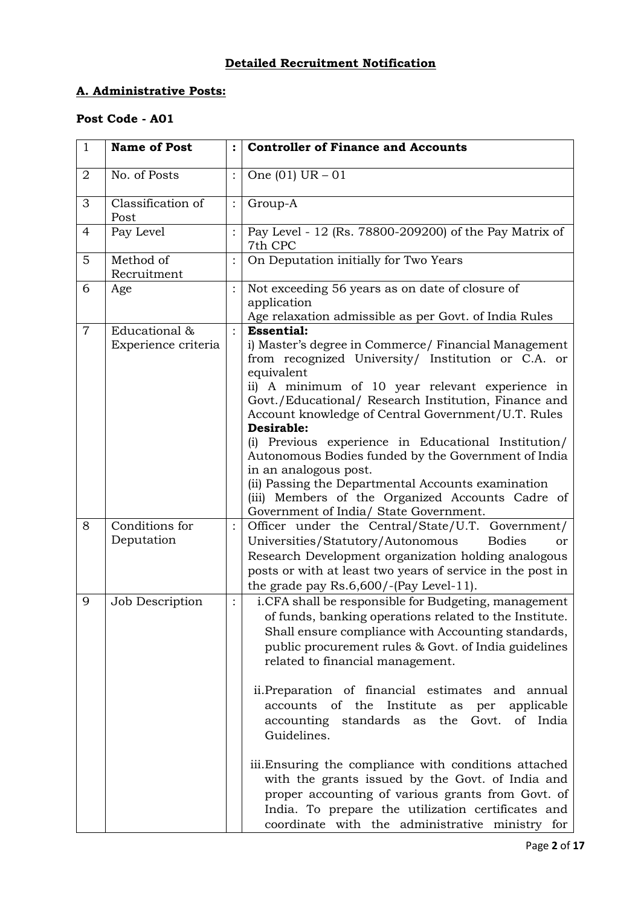# **Detailed Recruitment Notification**

## **A. Administrative Posts:**

# **Post Code - A01**

| $\mathbf{1}$   | <b>Name of Post</b>                  |                | <b>Controller of Finance and Accounts</b>                                                                                                                                                                                                                                                                                                                                                                                                                                                                                                                                                                                                                                        |
|----------------|--------------------------------------|----------------|----------------------------------------------------------------------------------------------------------------------------------------------------------------------------------------------------------------------------------------------------------------------------------------------------------------------------------------------------------------------------------------------------------------------------------------------------------------------------------------------------------------------------------------------------------------------------------------------------------------------------------------------------------------------------------|
| $\overline{2}$ | No. of Posts                         |                | One $(01)$ UR $-01$                                                                                                                                                                                                                                                                                                                                                                                                                                                                                                                                                                                                                                                              |
| 3              | Classification of<br>Post            | $\ddot{\cdot}$ | Group-A                                                                                                                                                                                                                                                                                                                                                                                                                                                                                                                                                                                                                                                                          |
| $\overline{4}$ | Pay Level                            |                | Pay Level - 12 (Rs. 78800-209200) of the Pay Matrix of<br>7th CPC                                                                                                                                                                                                                                                                                                                                                                                                                                                                                                                                                                                                                |
| 5              | Method of<br>Recruitment             |                | On Deputation initially for Two Years                                                                                                                                                                                                                                                                                                                                                                                                                                                                                                                                                                                                                                            |
| 6              | Age                                  |                | Not exceeding 56 years as on date of closure of<br>application                                                                                                                                                                                                                                                                                                                                                                                                                                                                                                                                                                                                                   |
| $\overline{7}$ | Educational &<br>Experience criteria |                | Age relaxation admissible as per Govt. of India Rules<br><b>Essential:</b><br>i) Master's degree in Commerce/ Financial Management<br>from recognized University/ Institution or C.A. or<br>equivalent<br>ii) A minimum of 10 year relevant experience in<br>Govt./Educational/ Research Institution, Finance and<br>Account knowledge of Central Government/U.T. Rules<br>Desirable:<br>(i) Previous experience in Educational Institution/<br>Autonomous Bodies funded by the Government of India<br>in an analogous post.<br>(ii) Passing the Departmental Accounts examination<br>(iii) Members of the Organized Accounts Cadre of<br>Government of India/ State Government. |
| 8              | Conditions for<br>Deputation         |                | Officer under the Central/State/U.T. Government/<br>Universities/Statutory/Autonomous<br><b>Bodies</b><br>or<br>Research Development organization holding analogous<br>posts or with at least two years of service in the post in<br>the grade pay Rs.6,600/-(Pay Level-11).                                                                                                                                                                                                                                                                                                                                                                                                     |
| 9              | Job Description                      |                | i.CFA shall be responsible for Budgeting, management<br>of funds, banking operations related to the Institute.<br>Shall ensure compliance with Accounting standards,<br>public procurement rules & Govt. of India guidelines<br>related to financial management.<br>ii. Preparation of financial estimates and annual<br>accounts of the Institute<br>applicable<br>as<br>per<br>accounting standards as the Govt. of India<br>Guidelines.<br>iii. Ensuring the compliance with conditions attached<br>with the grants issued by the Govt. of India and<br>proper accounting of various grants from Govt. of<br>India. To prepare the utilization certificates and               |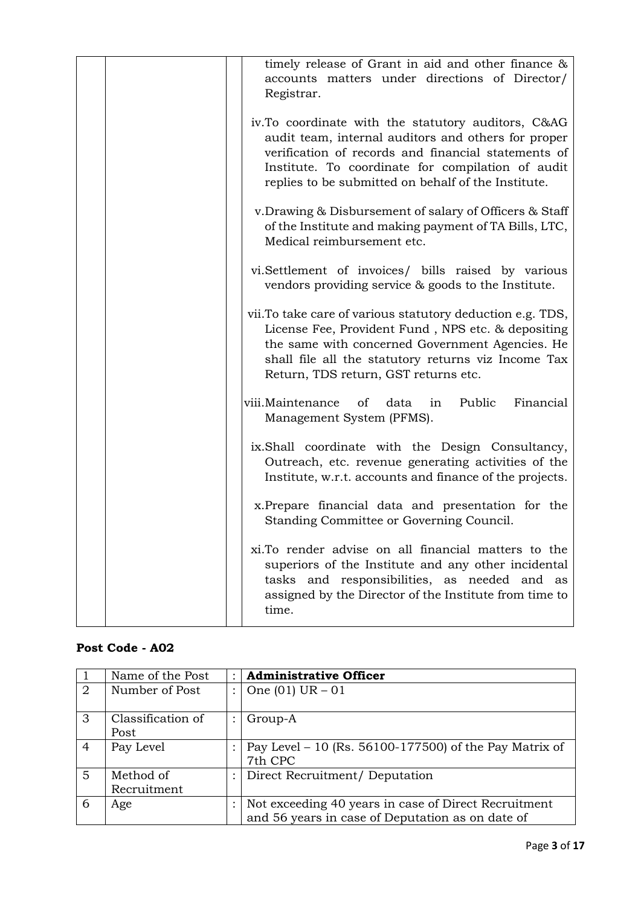| timely release of Grant in aid and other finance &<br>accounts matters under directions of Director/<br>Registrar.                                                                                                                                                           |
|------------------------------------------------------------------------------------------------------------------------------------------------------------------------------------------------------------------------------------------------------------------------------|
| iv.To coordinate with the statutory auditors, C&AG<br>audit team, internal auditors and others for proper<br>verification of records and financial statements of<br>Institute. To coordinate for compilation of audit<br>replies to be submitted on behalf of the Institute. |
| v. Drawing & Disbursement of salary of Officers & Staff<br>of the Institute and making payment of TA Bills, LTC,<br>Medical reimbursement etc.                                                                                                                               |
| vi.Settlement of invoices/ bills raised by various<br>vendors providing service & goods to the Institute.                                                                                                                                                                    |
| vii. To take care of various statutory deduction e.g. TDS,<br>License Fee, Provident Fund, NPS etc. & depositing<br>the same with concerned Government Agencies. He<br>shall file all the statutory returns viz Income Tax<br>Return, TDS return, GST returns etc.           |
| viii.Maintenance<br>Public<br>of<br>data<br>Financial<br>in<br>Management System (PFMS).                                                                                                                                                                                     |
| ix.Shall coordinate with the Design Consultancy,<br>Outreach, etc. revenue generating activities of the<br>Institute, w.r.t. accounts and finance of the projects.                                                                                                           |
| x. Prepare financial data and presentation for the<br>Standing Committee or Governing Council.                                                                                                                                                                               |
| xi. To render advise on all financial matters to the<br>superiors of the Institute and any other incidental<br>tasks and responsibilities, as needed and as<br>assigned by the Director of the Institute from time to<br>time.                                               |

## **Post Code - A02**

|                | Name of the Post          | <b>Administrative Officer</b>                                                                            |
|----------------|---------------------------|----------------------------------------------------------------------------------------------------------|
| 2              | Number of Post            | One $(01)$ UR $-01$                                                                                      |
| 3              | Classification of<br>Post | Group-A                                                                                                  |
| $\overline{4}$ | Pay Level                 | Pay Level - 10 (Rs. $56100-177500$ ) of the Pay Matrix of<br>7th CPC                                     |
| $\overline{5}$ | Method of<br>Recruitment  | Direct Recruitment/ Deputation                                                                           |
| 6              | Age                       | Not exceeding 40 years in case of Direct Recruitment<br>and 56 years in case of Deputation as on date of |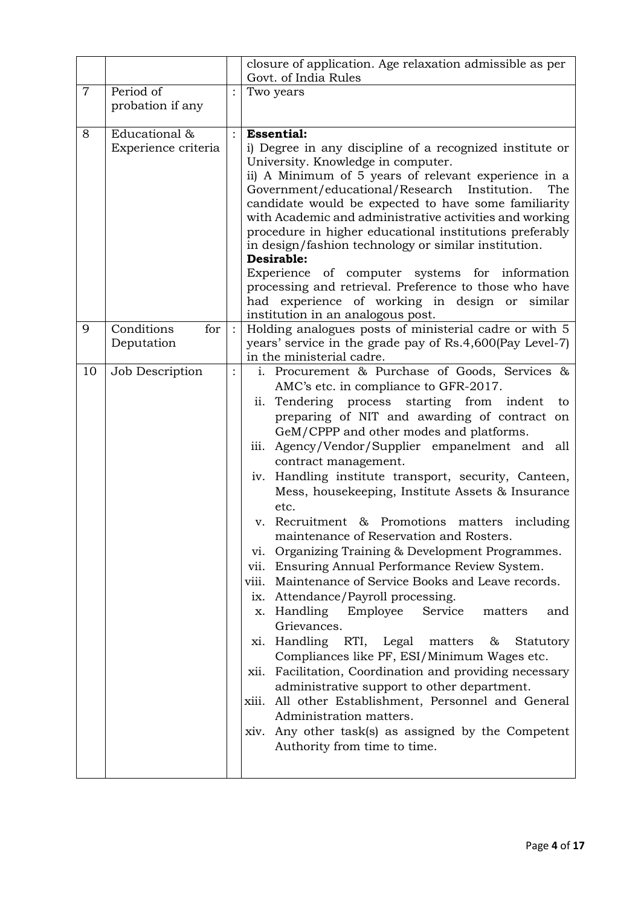|                |                                      |         | closure of application. Age relaxation admissible as per<br>Govt. of India Rules                                                                                                                                                                                                                                                                                                                                                                                                                                                                                                                                                                                                                                                                                                                                                                                                                                                                                                                                                                                                                                                                                                                                                                               |
|----------------|--------------------------------------|---------|----------------------------------------------------------------------------------------------------------------------------------------------------------------------------------------------------------------------------------------------------------------------------------------------------------------------------------------------------------------------------------------------------------------------------------------------------------------------------------------------------------------------------------------------------------------------------------------------------------------------------------------------------------------------------------------------------------------------------------------------------------------------------------------------------------------------------------------------------------------------------------------------------------------------------------------------------------------------------------------------------------------------------------------------------------------------------------------------------------------------------------------------------------------------------------------------------------------------------------------------------------------|
| $\overline{7}$ | Period of<br>probation if any        |         | Two years                                                                                                                                                                                                                                                                                                                                                                                                                                                                                                                                                                                                                                                                                                                                                                                                                                                                                                                                                                                                                                                                                                                                                                                                                                                      |
| 8              | Educational &<br>Experience criteria | $\cdot$ | <b>Essential:</b><br>i) Degree in any discipline of a recognized institute or<br>University. Knowledge in computer.<br>ii) A Minimum of 5 years of relevant experience in a<br>Government/educational/Research Institution.<br>The<br>candidate would be expected to have some familiarity<br>with Academic and administrative activities and working<br>procedure in higher educational institutions preferably<br>in design/fashion technology or similar institution.<br>Desirable:<br>Experience of computer systems for information<br>processing and retrieval. Preference to those who have<br>had experience of working in design or similar<br>institution in an analogous post.                                                                                                                                                                                                                                                                                                                                                                                                                                                                                                                                                                      |
| 9              | Conditions<br>for<br>Deputation      |         | Holding analogues posts of ministerial cadre or with 5<br>years' service in the grade pay of Rs.4,600(Pay Level-7)<br>in the ministerial cadre.                                                                                                                                                                                                                                                                                                                                                                                                                                                                                                                                                                                                                                                                                                                                                                                                                                                                                                                                                                                                                                                                                                                |
| 10             | Job Description                      |         | i. Procurement & Purchase of Goods, Services &<br>AMC's etc. in compliance to GFR-2017.<br>Tendering process starting from indent<br>ii.<br>to<br>preparing of NIT and awarding of contract on<br>GeM/CPPP and other modes and platforms.<br>Agency/Vendor/Supplier empanelment and all<br>$\overline{111}$ .<br>contract management.<br>iv. Handling institute transport, security, Canteen,<br>Mess, housekeeping, Institute Assets & Insurance<br>etc.<br>v. Recruitment & Promotions matters including<br>maintenance of Reservation and Rosters.<br>Organizing Training & Development Programmes.<br>V1.<br>vii. Ensuring Annual Performance Review System.<br>Maintenance of Service Books and Leave records.<br>viii.<br>Attendance/Payroll processing.<br>$\overline{1}X$ .<br>x. Handling Employee<br>Service<br>matters<br>and<br>Grievances.<br>xi. Handling RTI,<br>Legal<br>matters<br>&<br>Statutory<br>Compliances like PF, ESI/Minimum Wages etc.<br>Facilitation, Coordination and providing necessary<br>xii.<br>administrative support to other department.<br>All other Establishment, Personnel and General<br>xiii.<br>Administration matters.<br>Any other task(s) as assigned by the Competent<br>xiv.<br>Authority from time to time. |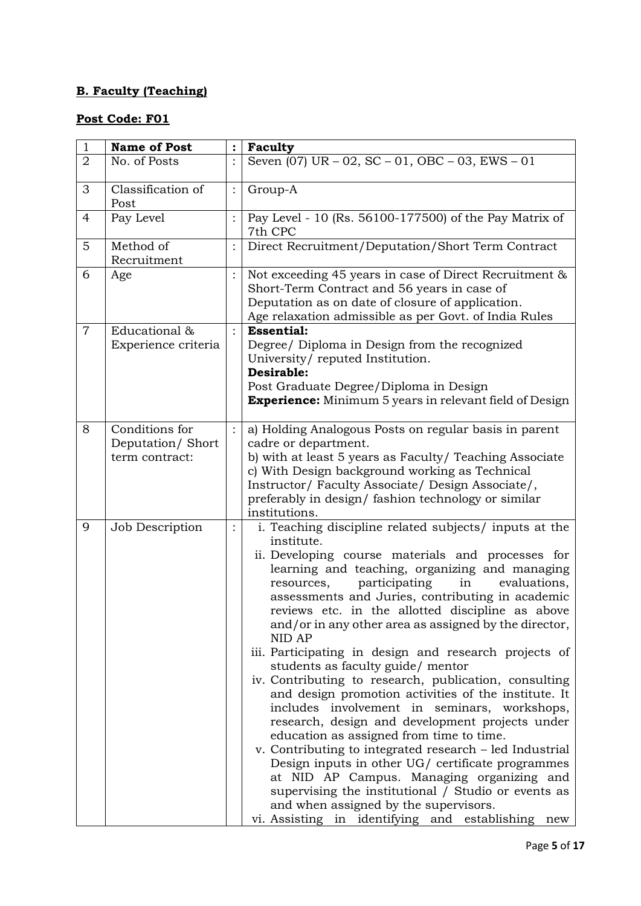# **B. Faculty (Teaching)**

| $\mathbf{1}$   | <b>Name of Post</b>                                  |          | Faculty                                                                                                                                                                                                                                                                                                                                                                                                                                                                                                                                                                                                                                                                                                                                                                                                                                                                                                                                                                                                                                                                                     |
|----------------|------------------------------------------------------|----------|---------------------------------------------------------------------------------------------------------------------------------------------------------------------------------------------------------------------------------------------------------------------------------------------------------------------------------------------------------------------------------------------------------------------------------------------------------------------------------------------------------------------------------------------------------------------------------------------------------------------------------------------------------------------------------------------------------------------------------------------------------------------------------------------------------------------------------------------------------------------------------------------------------------------------------------------------------------------------------------------------------------------------------------------------------------------------------------------|
| $\overline{2}$ | No. of Posts                                         |          | Seven $(07)$ UR $-02$ , SC $-01$ , OBC $-03$ , EWS $-01$                                                                                                                                                                                                                                                                                                                                                                                                                                                                                                                                                                                                                                                                                                                                                                                                                                                                                                                                                                                                                                    |
| 3              | Classification of<br>Post                            |          | Group-A                                                                                                                                                                                                                                                                                                                                                                                                                                                                                                                                                                                                                                                                                                                                                                                                                                                                                                                                                                                                                                                                                     |
| $\overline{4}$ | Pay Level                                            |          | Pay Level - 10 (Rs. 56100-177500) of the Pay Matrix of<br>7th CPC                                                                                                                                                                                                                                                                                                                                                                                                                                                                                                                                                                                                                                                                                                                                                                                                                                                                                                                                                                                                                           |
| 5              | Method of<br>Recruitment                             |          | Direct Recruitment/Deputation/Short Term Contract                                                                                                                                                                                                                                                                                                                                                                                                                                                                                                                                                                                                                                                                                                                                                                                                                                                                                                                                                                                                                                           |
| 6              | Age                                                  |          | Not exceeding 45 years in case of Direct Recruitment &<br>Short-Term Contract and 56 years in case of<br>Deputation as on date of closure of application.<br>Age relaxation admissible as per Govt. of India Rules                                                                                                                                                                                                                                                                                                                                                                                                                                                                                                                                                                                                                                                                                                                                                                                                                                                                          |
| $\overline{7}$ | Educational &<br>Experience criteria                 |          | <b>Essential:</b><br>Degree/ Diploma in Design from the recognized<br>University/reputed Institution.<br>Desirable:<br>Post Graduate Degree/Diploma in Design<br><b>Experience:</b> Minimum 5 years in relevant field of Design                                                                                                                                                                                                                                                                                                                                                                                                                                                                                                                                                                                                                                                                                                                                                                                                                                                             |
| 8              | Conditions for<br>Deputation/Short<br>term contract: |          | a) Holding Analogous Posts on regular basis in parent<br>cadre or department.<br>b) with at least 5 years as Faculty/ Teaching Associate<br>c) With Design background working as Technical<br>Instructor/Faculty Associate/Design Associate/,<br>preferably in design/ fashion technology or similar<br>institutions.                                                                                                                                                                                                                                                                                                                                                                                                                                                                                                                                                                                                                                                                                                                                                                       |
| 9              | Job Description                                      | $\vdots$ | i. Teaching discipline related subjects/ inputs at the<br>institute.<br>ii. Developing course materials and processes for<br>learning and teaching, organizing and managing<br>participating<br>in<br>evaluations,<br>resources,<br>assessments and Juries, contributing in academic<br>reviews etc. in the allotted discipline as above<br>and/or in any other area as assigned by the director,<br>NID AP<br>iii. Participating in design and research projects of<br>students as faculty guide/ mentor<br>iv. Contributing to research, publication, consulting<br>and design promotion activities of the institute. It<br>includes involvement in seminars, workshops,<br>research, design and development projects under<br>education as assigned from time to time.<br>v. Contributing to integrated research – led Industrial<br>Design inputs in other UG/ certificate programmes<br>at NID AP Campus. Managing organizing and<br>supervising the institutional / Studio or events as<br>and when assigned by the supervisors.<br>vi. Assisting in identifying and establishing new |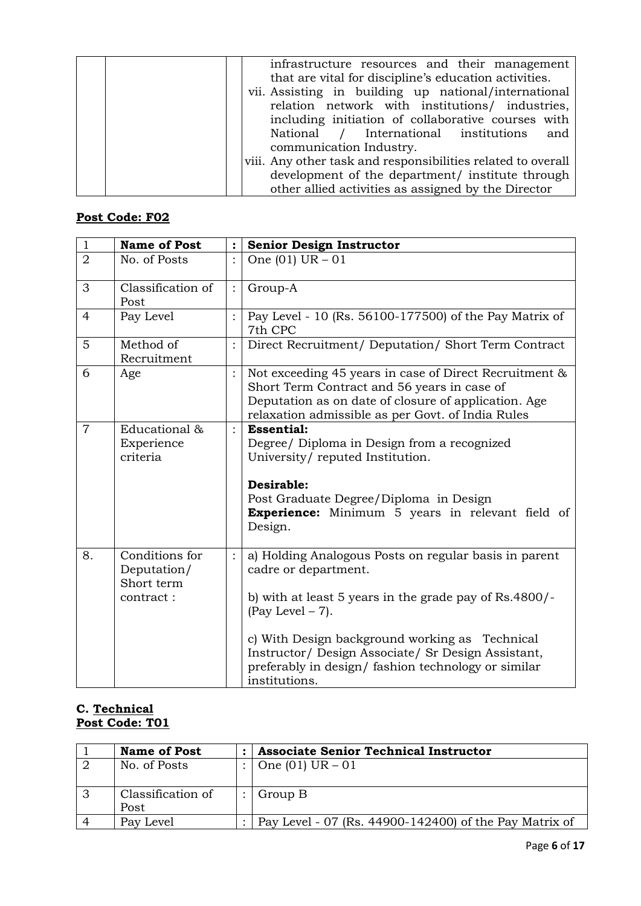| infrastructure resources and their management<br>that are vital for discipline's education activities.<br>vii. Assisting in building up national/international<br>relation network with institutions/ industries,<br>including initiation of collaborative courses with |
|-------------------------------------------------------------------------------------------------------------------------------------------------------------------------------------------------------------------------------------------------------------------------|
| National / International institutions and<br>communication Industry.                                                                                                                                                                                                    |
| viii. Any other task and responsibilities related to overall<br>development of the department/ institute through                                                                                                                                                        |
| other allied activities as assigned by the Director                                                                                                                                                                                                                     |

| $1\,$          | <b>Name of Post</b>                                      |                | <b>Senior Design Instructor</b>                                                                                                                                                                                                                                                                                                               |
|----------------|----------------------------------------------------------|----------------|-----------------------------------------------------------------------------------------------------------------------------------------------------------------------------------------------------------------------------------------------------------------------------------------------------------------------------------------------|
| $\overline{2}$ | No. of Posts                                             | $\cdot$        | One $(01)$ UR $-01$                                                                                                                                                                                                                                                                                                                           |
| 3              | Classification of<br>Post                                | $\ddot{\cdot}$ | Group-A                                                                                                                                                                                                                                                                                                                                       |
| 4              | Pay Level                                                |                | Pay Level - 10 (Rs. 56100-177500) of the Pay Matrix of<br>7th CPC                                                                                                                                                                                                                                                                             |
| 5              | Method of<br>Recruitment                                 |                | Direct Recruitment/ Deputation/ Short Term Contract                                                                                                                                                                                                                                                                                           |
| 6              | Age                                                      |                | Not exceeding 45 years in case of Direct Recruitment &<br>Short Term Contract and 56 years in case of<br>Deputation as on date of closure of application. Age<br>relaxation admissible as per Govt. of India Rules                                                                                                                            |
| $\overline{7}$ | Educational &<br>Experience<br>criteria                  | $\ddot{\cdot}$ | <b>Essential:</b><br>Degree/ Diploma in Design from a recognized<br>University/reputed Institution.<br>Desirable:<br>Post Graduate Degree/Diploma in Design<br><b>Experience:</b> Minimum 5 years in relevant field of<br>Design.                                                                                                             |
| 8.             | Conditions for<br>Deputation/<br>Short term<br>contract: |                | a) Holding Analogous Posts on regular basis in parent<br>cadre or department.<br>b) with at least 5 years in the grade pay of Rs.4800/-<br>$(Pay Level - 7)$ .<br>c) With Design background working as Technical<br>Instructor/ Design Associate/ Sr Design Assistant,<br>preferably in design/fashion technology or similar<br>institutions. |

### **C. Technical Post Code: T01**

| <b>Name of Post</b> | <b>Associate Senior Technical Instructor</b>           |
|---------------------|--------------------------------------------------------|
| No. of Posts        | One $(01)$ UR $-01$                                    |
|                     |                                                        |
| Classification of   | Group B                                                |
| Post                |                                                        |
| Pay Level           | Pay Level - 07 (Rs. 44900-142400) of the Pay Matrix of |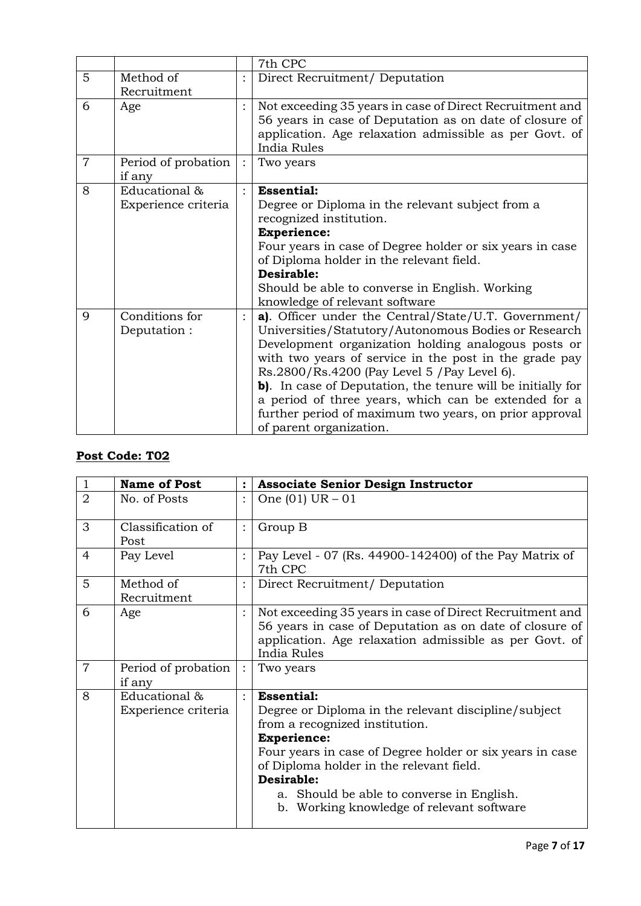|                |                                      | 7th CPC                                                                                                                                                                                                                                                                                                                                                                                                                                                                                   |
|----------------|--------------------------------------|-------------------------------------------------------------------------------------------------------------------------------------------------------------------------------------------------------------------------------------------------------------------------------------------------------------------------------------------------------------------------------------------------------------------------------------------------------------------------------------------|
| 5              | Method of<br>Recruitment             | Direct Recruitment/ Deputation                                                                                                                                                                                                                                                                                                                                                                                                                                                            |
| 6              | Age                                  | Not exceeding 35 years in case of Direct Recruitment and<br>56 years in case of Deputation as on date of closure of<br>application. Age relaxation admissible as per Govt. of<br>India Rules                                                                                                                                                                                                                                                                                              |
| $\overline{7}$ | Period of probation<br>if any        | Two years                                                                                                                                                                                                                                                                                                                                                                                                                                                                                 |
| 8              | Educational &<br>Experience criteria | <b>Essential:</b><br>Degree or Diploma in the relevant subject from a<br>recognized institution.<br><b>Experience:</b><br>Four years in case of Degree holder or six years in case<br>of Diploma holder in the relevant field.<br>Desirable:<br>Should be able to converse in English. Working<br>knowledge of relevant software                                                                                                                                                          |
| 9              | Conditions for<br>Deputation:        | a). Officer under the Central/State/U.T. Government/<br>Universities/Statutory/Autonomous Bodies or Research<br>Development organization holding analogous posts or<br>with two years of service in the post in the grade pay<br>Rs.2800/Rs.4200 (Pay Level 5 / Pay Level 6).<br>b). In case of Deputation, the tenure will be initially for<br>a period of three years, which can be extended for a<br>further period of maximum two years, on prior approval<br>of parent organization. |

| $\mathbf{1}$   | <b>Name of Post</b>                  |                | <b>Associate Senior Design Instructor</b>                                                                                                                                                                                                                                                                                                         |
|----------------|--------------------------------------|----------------|---------------------------------------------------------------------------------------------------------------------------------------------------------------------------------------------------------------------------------------------------------------------------------------------------------------------------------------------------|
| $\overline{2}$ | No. of Posts                         | $\ddot{\cdot}$ | One $(01)$ UR $-01$                                                                                                                                                                                                                                                                                                                               |
| 3              | Classification of<br>Post            | $\ddot{\cdot}$ | Group B                                                                                                                                                                                                                                                                                                                                           |
| 4              | Pay Level                            |                | Pay Level - 07 (Rs. 44900-142400) of the Pay Matrix of<br>7th CPC                                                                                                                                                                                                                                                                                 |
| 5              | Method of<br>Recruitment             |                | Direct Recruitment/ Deputation                                                                                                                                                                                                                                                                                                                    |
| 6              | Age                                  |                | Not exceeding 35 years in case of Direct Recruitment and<br>56 years in case of Deputation as on date of closure of<br>application. Age relaxation admissible as per Govt. of<br>India Rules                                                                                                                                                      |
| $\overline{7}$ | Period of probation<br>if any        | $\cdot$ :      | Two years                                                                                                                                                                                                                                                                                                                                         |
| 8              | Educational &<br>Experience criteria | $\cdot$        | <b>Essential:</b><br>Degree or Diploma in the relevant discipline/subject<br>from a recognized institution.<br><b>Experience:</b><br>Four years in case of Degree holder or six years in case<br>of Diploma holder in the relevant field.<br>Desirable:<br>a. Should be able to converse in English.<br>b. Working knowledge of relevant software |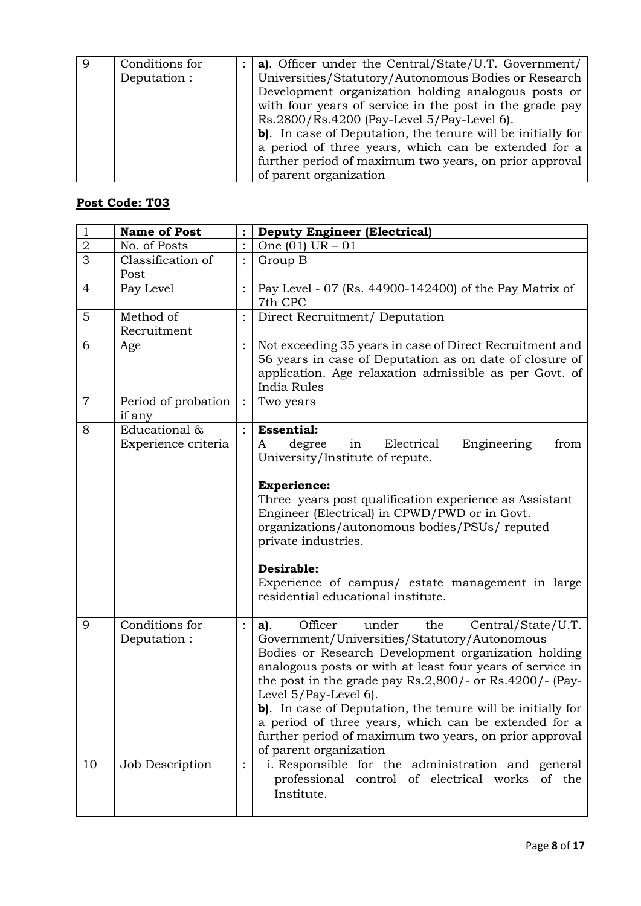| Conditions for | a). Officer under the Central/State/U.T. Government/        |
|----------------|-------------------------------------------------------------|
| Deputation :   | Universities/Statutory/Autonomous Bodies or Research        |
|                | Development organization holding analogous posts or         |
|                | with four years of service in the post in the grade pay     |
|                | Rs.2800/Rs.4200 (Pay-Level 5/Pay-Level 6).                  |
|                | b). In case of Deputation, the tenure will be initially for |
|                | a period of three years, which can be extended for a        |
|                | further period of maximum two years, on prior approval      |
|                | of parent organization                                      |

| $\mathbf{1}$   | <b>Name of Post</b>                  | $\ddot{\cdot}$ | <b>Deputy Engineer (Electrical)</b>                                                                                                                                                                                                                                                                                                                                                                                                                                                                                            |
|----------------|--------------------------------------|----------------|--------------------------------------------------------------------------------------------------------------------------------------------------------------------------------------------------------------------------------------------------------------------------------------------------------------------------------------------------------------------------------------------------------------------------------------------------------------------------------------------------------------------------------|
| $\overline{2}$ | No. of Posts                         | $\ddot{\cdot}$ | One $(01)$ UR $-01$                                                                                                                                                                                                                                                                                                                                                                                                                                                                                                            |
| 3              | Classification of<br>Post            |                | Group B                                                                                                                                                                                                                                                                                                                                                                                                                                                                                                                        |
| $\overline{4}$ | Pay Level                            | $\ddot{\cdot}$ | Pay Level - 07 (Rs. 44900-142400) of the Pay Matrix of<br>7th CPC                                                                                                                                                                                                                                                                                                                                                                                                                                                              |
| 5              | Method of<br>Recruitment             |                | Direct Recruitment/ Deputation                                                                                                                                                                                                                                                                                                                                                                                                                                                                                                 |
| 6              | Age                                  |                | Not exceeding 35 years in case of Direct Recruitment and<br>56 years in case of Deputation as on date of closure of<br>application. Age relaxation admissible as per Govt. of<br>India Rules                                                                                                                                                                                                                                                                                                                                   |
| $\overline{7}$ | Period of probation<br>if any        | $\ddot{\cdot}$ | Two years                                                                                                                                                                                                                                                                                                                                                                                                                                                                                                                      |
| 8              | Educational &<br>Experience criteria |                | <b>Essential:</b><br>degree<br>Electrical<br>Engineering<br>in<br>from<br>A<br>University/Institute of repute.<br><b>Experience:</b><br>Three years post qualification experience as Assistant<br>Engineer (Electrical) in CPWD/PWD or in Govt.<br>organizations/autonomous bodies/PSUs/ reputed<br>private industries.<br>Desirable:<br>Experience of campus/ estate management in large<br>residential educational institute.                                                                                                |
| 9              | Conditions for<br>Deputation:        | $\ddot{\cdot}$ | Officer<br>Central/State/U.T.<br>under<br>the<br>$a$ ).<br>Government/Universities/Statutory/Autonomous<br>Bodies or Research Development organization holding<br>analogous posts or with at least four years of service in<br>the post in the grade pay $Rs.2,800/-$ or $Rs.4200/-$ (Pay-<br>Level 5/Pay-Level 6).<br>b). In case of Deputation, the tenure will be initially for<br>a period of three years, which can be extended for a<br>further period of maximum two years, on prior approval<br>of parent organization |
| 10             | Job Description                      | :              | i. Responsible for the administration and general<br>professional control of electrical works of the<br>Institute.                                                                                                                                                                                                                                                                                                                                                                                                             |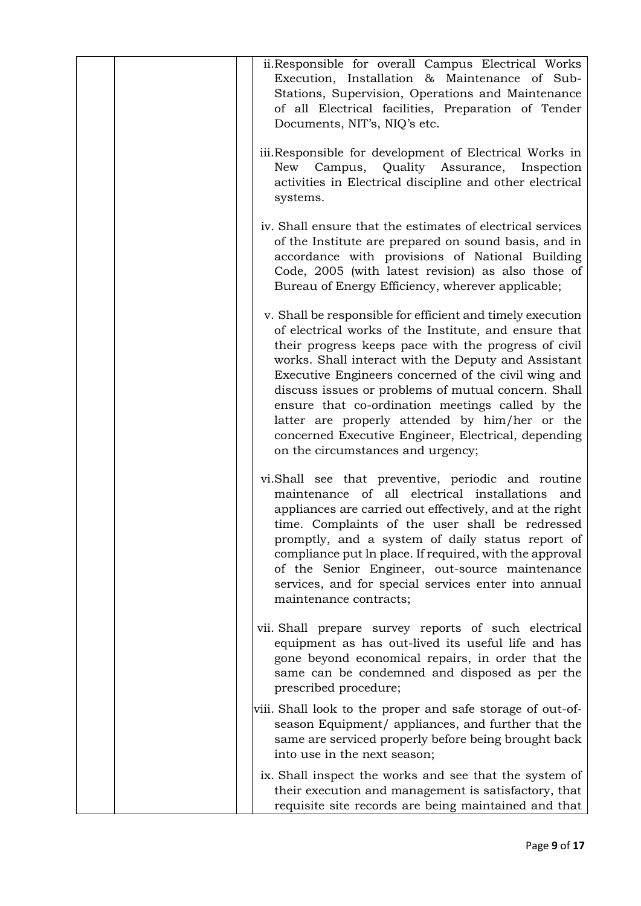| ii.Responsible for overall Campus Electrical Works<br>Execution, Installation & Maintenance of Sub-<br>Stations, Supervision, Operations and Maintenance<br>of all Electrical facilities, Preparation of Tender<br>Documents, NIT's, NIQ's etc.                                                                                                                                                                                                                                                                                                    |
|----------------------------------------------------------------------------------------------------------------------------------------------------------------------------------------------------------------------------------------------------------------------------------------------------------------------------------------------------------------------------------------------------------------------------------------------------------------------------------------------------------------------------------------------------|
| iii. Responsible for development of Electrical Works in<br>Campus, Quality Assurance, Inspection<br>New<br>activities in Electrical discipline and other electrical<br>systems.                                                                                                                                                                                                                                                                                                                                                                    |
| iv. Shall ensure that the estimates of electrical services<br>of the Institute are prepared on sound basis, and in<br>accordance with provisions of National Building<br>Code, 2005 (with latest revision) as also those of<br>Bureau of Energy Efficiency, wherever applicable;                                                                                                                                                                                                                                                                   |
| v. Shall be responsible for efficient and timely execution<br>of electrical works of the Institute, and ensure that<br>their progress keeps pace with the progress of civil<br>works. Shall interact with the Deputy and Assistant<br>Executive Engineers concerned of the civil wing and<br>discuss issues or problems of mutual concern. Shall<br>ensure that co-ordination meetings called by the<br>latter are properly attended by him/her or the<br>concerned Executive Engineer, Electrical, depending<br>on the circumstances and urgency; |
| vi.Shall see that preventive, periodic and routine<br>maintenance of all electrical installations<br>and<br>appliances are carried out effectively, and at the right<br>time. Complaints of the user shall be redressed<br>promptly, and a system of daily status report of<br>compliance put ln place. If required, with the approval<br>of the Senior Engineer, out-source maintenance<br>services, and for special services enter into annual<br>maintenance contracts;                                                                         |
| vii. Shall prepare survey reports of such electrical<br>equipment as has out-lived its useful life and has<br>gone beyond economical repairs, in order that the<br>same can be condemned and disposed as per the<br>prescribed procedure;                                                                                                                                                                                                                                                                                                          |
| viii. Shall look to the proper and safe storage of out-of-<br>season Equipment/ appliances, and further that the<br>same are serviced properly before being brought back<br>into use in the next season;                                                                                                                                                                                                                                                                                                                                           |
| ix. Shall inspect the works and see that the system of<br>their execution and management is satisfactory, that<br>requisite site records are being maintained and that                                                                                                                                                                                                                                                                                                                                                                             |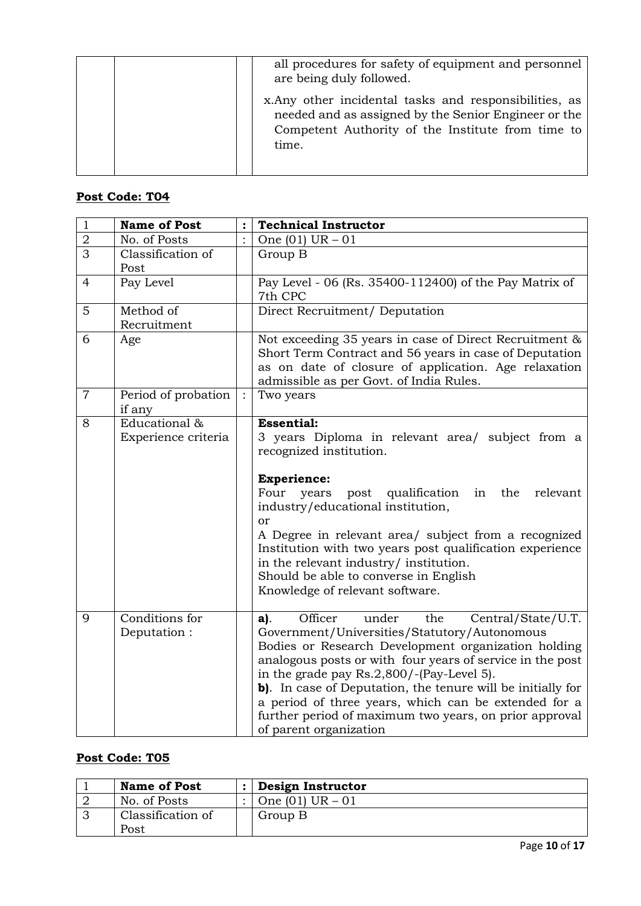| all procedures for safety of equipment and personnel<br>are being duly followed.                                                                                             |
|------------------------------------------------------------------------------------------------------------------------------------------------------------------------------|
| x. Any other incidental tasks and responsibilities, as<br>needed and as assigned by the Senior Engineer or the<br>Competent Authority of the Institute from time to<br>time. |

| $\mathbf{1}$   | <b>Name of Post</b>                  | :              | <b>Technical Instructor</b>                                                                                                                                                                                                                                                                                                                                                                                                                                                        |
|----------------|--------------------------------------|----------------|------------------------------------------------------------------------------------------------------------------------------------------------------------------------------------------------------------------------------------------------------------------------------------------------------------------------------------------------------------------------------------------------------------------------------------------------------------------------------------|
| $\sqrt{2}$     | No. of Posts                         | $\ddot{\cdot}$ | One $(01)$ UR $-01$                                                                                                                                                                                                                                                                                                                                                                                                                                                                |
| $\overline{3}$ | Classification of<br>Post            |                | Group B                                                                                                                                                                                                                                                                                                                                                                                                                                                                            |
| 4              | Pay Level                            |                | Pay Level - 06 (Rs. 35400-112400) of the Pay Matrix of<br>7th CPC                                                                                                                                                                                                                                                                                                                                                                                                                  |
| 5              | Method of<br>Recruitment             |                | Direct Recruitment/ Deputation                                                                                                                                                                                                                                                                                                                                                                                                                                                     |
| 6              | Age                                  |                | Not exceeding 35 years in case of Direct Recruitment &<br>Short Term Contract and 56 years in case of Deputation<br>as on date of closure of application. Age relaxation<br>admissible as per Govt. of India Rules.                                                                                                                                                                                                                                                                |
| $\overline{7}$ | Period of probation<br>if any        | $\cdot$        | Two years                                                                                                                                                                                                                                                                                                                                                                                                                                                                          |
| 8              | Educational &<br>Experience criteria |                | <b>Essential:</b><br>3 years Diploma in relevant area/ subject from a<br>recognized institution.<br><b>Experience:</b><br>Four<br>post qualification<br>years<br>in<br>the<br>relevant<br>industry/educational institution,<br><b>or</b><br>A Degree in relevant area/ subject from a recognized<br>Institution with two years post qualification experience<br>in the relevant industry/ institution.<br>Should be able to converse in English<br>Knowledge of relevant software. |
| 9              | Conditions for<br>Deputation:        |                | Officer<br>under<br>the<br>Central/State/U.T.<br>a).<br>Government/Universities/Statutory/Autonomous<br>Bodies or Research Development organization holding<br>analogous posts or with four years of service in the post<br>in the grade pay Rs.2,800/-(Pay-Level 5).<br>b). In case of Deputation, the tenure will be initially for<br>a period of three years, which can be extended for a<br>further period of maximum two years, on prior approval<br>of parent organization   |

| <b>Name of Post</b> | Design Instructor   |
|---------------------|---------------------|
| No. of Posts        | One $(01)$ UR $-01$ |
| Classification of   | Group B             |
| Post                |                     |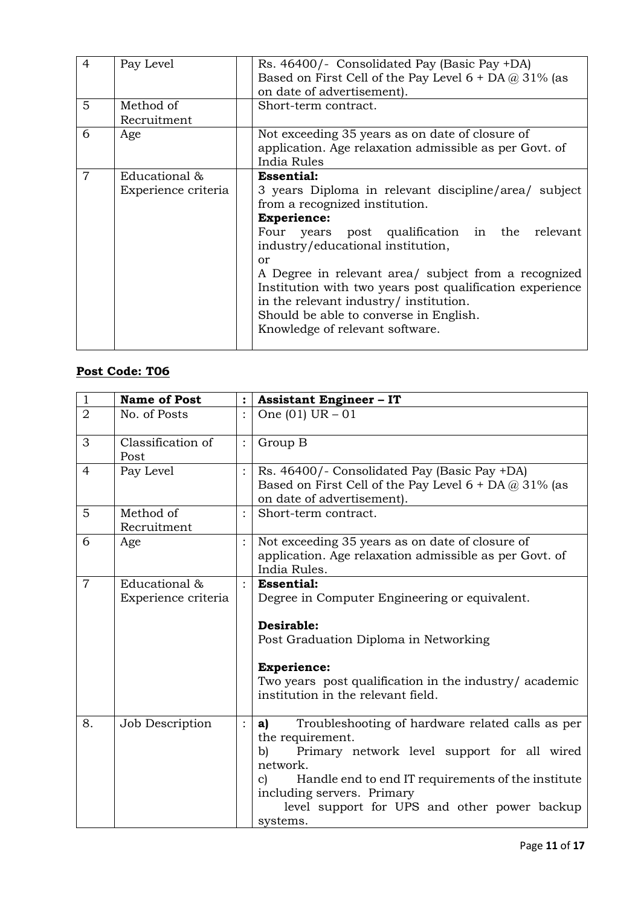| $\overline{4}$ | Pay Level                            | Rs. 46400/- Consolidated Pay (Basic Pay +DA)<br>Based on First Cell of the Pay Level $6 + DA @ 31%$ (as<br>on date of advertisement).                                                                                                                                                                                                                                                                                                                                       |
|----------------|--------------------------------------|-----------------------------------------------------------------------------------------------------------------------------------------------------------------------------------------------------------------------------------------------------------------------------------------------------------------------------------------------------------------------------------------------------------------------------------------------------------------------------|
| 5              | Method of<br>Recruitment             | Short-term contract.                                                                                                                                                                                                                                                                                                                                                                                                                                                        |
| 6              | Age                                  | Not exceeding 35 years as on date of closure of<br>application. Age relaxation admissible as per Govt. of<br>India Rules                                                                                                                                                                                                                                                                                                                                                    |
| $\overline{7}$ | Educational &<br>Experience criteria | <b>Essential:</b><br>3 years Diploma in relevant discipline/area/ subject<br>from a recognized institution.<br><b>Experience:</b><br>relevant<br>Four years post qualification in the<br>industry/educational institution,<br>or<br>A Degree in relevant area/ subject from a recognized<br>Institution with two years post qualification experience<br>in the relevant industry/ institution.<br>Should be able to converse in English.<br>Knowledge of relevant software. |

| $\mathbf{1}$   | <b>Name of Post</b>                  | $\ddot{\cdot}$ | <b>Assistant Engineer - IT</b>                                                                                                                                                                                                                                                                    |
|----------------|--------------------------------------|----------------|---------------------------------------------------------------------------------------------------------------------------------------------------------------------------------------------------------------------------------------------------------------------------------------------------|
| $\overline{2}$ | No. of Posts                         | $\ddot{\cdot}$ | One $(01)$ UR $-01$                                                                                                                                                                                                                                                                               |
| 3              | Classification of<br>Post            | $\ddot{\cdot}$ | Group B                                                                                                                                                                                                                                                                                           |
| $\overline{4}$ | Pay Level                            |                | Rs. 46400/- Consolidated Pay (Basic Pay +DA)<br>Based on First Cell of the Pay Level $6 + DA @ 31\%$ (as<br>on date of advertisement).                                                                                                                                                            |
| 5              | Method of<br>Recruitment             | $\ddot{\cdot}$ | Short-term contract.                                                                                                                                                                                                                                                                              |
| 6              | Age                                  |                | Not exceeding 35 years as on date of closure of<br>application. Age relaxation admissible as per Govt. of<br>India Rules.                                                                                                                                                                         |
| $\overline{7}$ | Educational &<br>Experience criteria |                | <b>Essential:</b><br>Degree in Computer Engineering or equivalent.<br>Desirable:<br>Post Graduation Diploma in Networking<br><b>Experience:</b><br>Two years post qualification in the industry/ academic<br>institution in the relevant field.                                                   |
| 8.             | Job Description                      | $\vdots$       | Troubleshooting of hardware related calls as per<br>a)<br>the requirement.<br>b)<br>Primary network level support for all wired<br>network.<br>Handle end to end IT requirements of the institute<br>C)<br>including servers. Primary<br>level support for UPS and other power backup<br>systems. |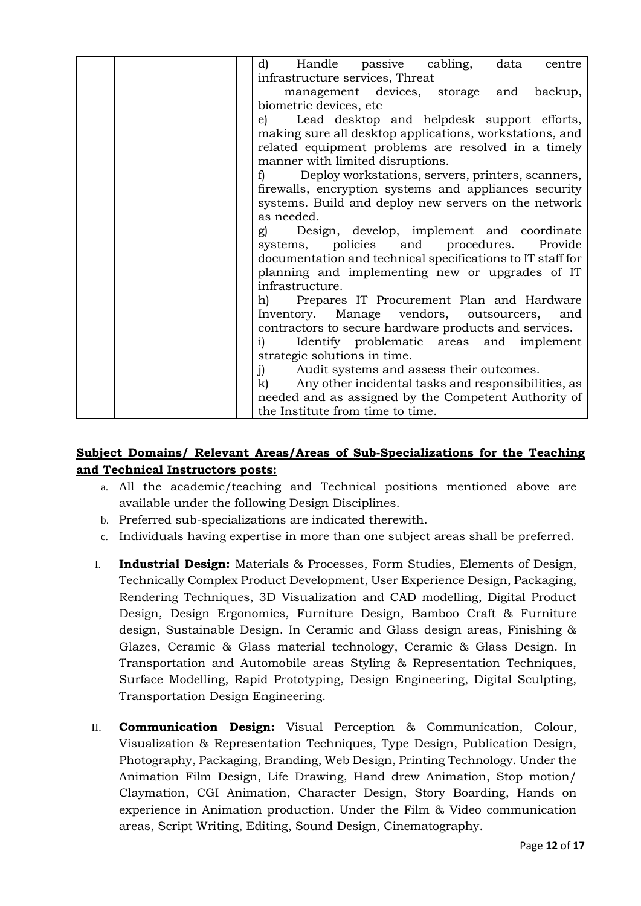| Handle passive cabling,<br>d)<br>data<br>centre                     |
|---------------------------------------------------------------------|
| infrastructure services, Threat                                     |
| management devices, storage and backup,                             |
| biometric devices, etc                                              |
| Lead desktop and helpdesk support efforts,<br>e)                    |
| making sure all desktop applications, workstations, and             |
| related equipment problems are resolved in a timely                 |
| manner with limited disruptions.                                    |
| Deploy workstations, servers, printers, scanners,<br>f)             |
| firewalls, encryption systems and appliances security               |
| systems. Build and deploy new servers on the network                |
| as needed.                                                          |
| Design, develop, implement and coordinate<br>g)                     |
| systems, policies and procedures.<br>Provide                        |
| documentation and technical specifications to IT staff for          |
| planning and implementing new or upgrades of IT<br>infrastructure.  |
| Prepares IT Procurement Plan and Hardware                           |
| h)<br>Inventory.<br>Manage vendors, outsourcers, and                |
| contractors to secure hardware products and services.               |
| Identify problematic areas and implement<br>i)                      |
| strategic solutions in time.                                        |
| Audit systems and assess their outcomes.<br>$j$ )                   |
| $\mathbf{k}$<br>Any other incidental tasks and responsibilities, as |
| needed and as assigned by the Competent Authority of                |
| the Institute from time to time.                                    |

## **Subject Domains/ Relevant Areas/Areas of Sub-Specializations for the Teaching and Technical Instructors posts:**

- a. All the academic/teaching and Technical positions mentioned above are available under the following Design Disciplines.
- b. Preferred sub-specializations are indicated therewith.
- c. Individuals having expertise in more than one subject areas shall be preferred.
- I. **Industrial Design:** Materials & Processes, Form Studies, Elements of Design, Technically Complex Product Development, User Experience Design, Packaging, Rendering Techniques, 3D Visualization and CAD modelling, Digital Product Design, Design Ergonomics, Furniture Design, Bamboo Craft & Furniture design, Sustainable Design. In Ceramic and Glass design areas, Finishing & Glazes, Ceramic & Glass material technology, Ceramic & Glass Design. In Transportation and Automobile areas Styling & Representation Techniques, Surface Modelling, Rapid Prototyping, Design Engineering, Digital Sculpting, Transportation Design Engineering.
- II. **Communication Design:** Visual Perception & Communication, Colour, Visualization & Representation Techniques, Type Design, Publication Design, Photography, Packaging, Branding, Web Design, Printing Technology. Under the Animation Film Design, Life Drawing, Hand drew Animation, Stop motion/ Claymation, CGI Animation, Character Design, Story Boarding, Hands on experience in Animation production. Under the Film & Video communication areas, Script Writing, Editing, Sound Design, Cinematography.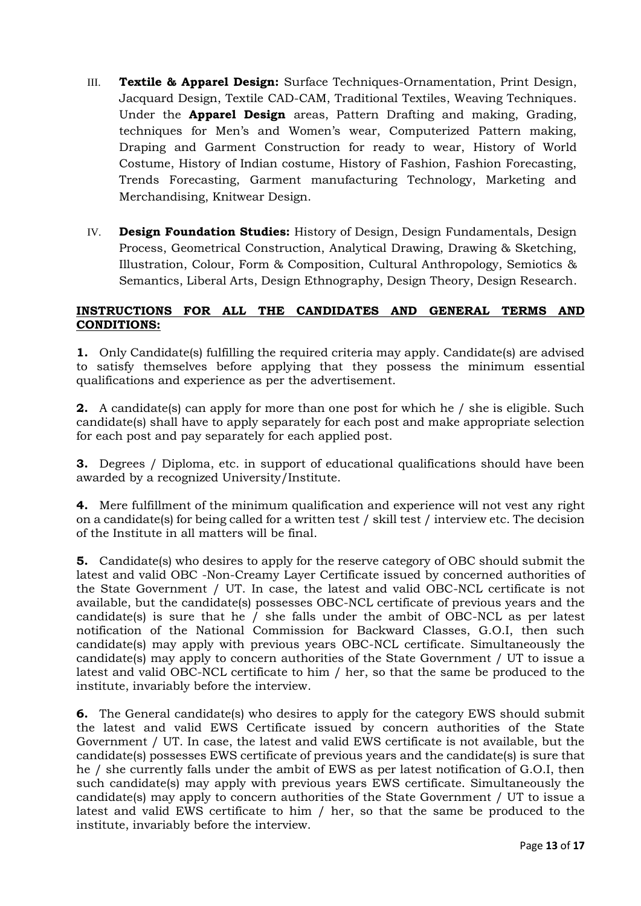- III. **Textile & Apparel Design:** Surface Techniques-Ornamentation, Print Design, Jacquard Design, Textile CAD-CAM, Traditional Textiles, Weaving Techniques. Under the **Apparel Design** areas, Pattern Drafting and making, Grading, techniques for Men's and Women's wear, Computerized Pattern making, Draping and Garment Construction for ready to wear, History of World Costume, History of Indian costume, History of Fashion, Fashion Forecasting, Trends Forecasting, Garment manufacturing Technology, Marketing and Merchandising, Knitwear Design.
- IV. **Design Foundation Studies:** History of Design, Design Fundamentals, Design Process, Geometrical Construction, Analytical Drawing, Drawing & Sketching, Illustration, Colour, Form & Composition, Cultural Anthropology, Semiotics & Semantics, Liberal Arts, Design Ethnography, Design Theory, Design Research.

## **INSTRUCTIONS FOR ALL THE CANDIDATES AND GENERAL TERMS AND CONDITIONS:**

**1.** Only Candidate(s) fulfilling the required criteria may apply. Candidate(s) are advised to satisfy themselves before applying that they possess the minimum essential qualifications and experience as per the advertisement.

**2.** A candidate(s) can apply for more than one post for which he / she is eligible. Such candidate(s) shall have to apply separately for each post and make appropriate selection for each post and pay separately for each applied post.

**3.** Degrees / Diploma, etc. in support of educational qualifications should have been awarded by a recognized University/Institute.

**4.** Mere fulfillment of the minimum qualification and experience will not vest any right on a candidate(s) for being called for a written test / skill test / interview etc. The decision of the Institute in all matters will be final.

**5.** Candidate(s) who desires to apply for the reserve category of OBC should submit the latest and valid OBC -Non-Creamy Layer Certificate issued by concerned authorities of the State Government / UT. In case, the latest and valid OBC-NCL certificate is not available, but the candidate(s) possesses OBC-NCL certificate of previous years and the candidate(s) is sure that he / she falls under the ambit of OBC-NCL as per latest notification of the National Commission for Backward Classes, G.O.I, then such candidate(s) may apply with previous years OBC-NCL certificate. Simultaneously the candidate(s) may apply to concern authorities of the State Government / UT to issue a latest and valid OBC-NCL certificate to him / her, so that the same be produced to the institute, invariably before the interview.

**6.** The General candidate(s) who desires to apply for the category EWS should submit the latest and valid EWS Certificate issued by concern authorities of the State Government / UT. In case, the latest and valid EWS certificate is not available, but the candidate(s) possesses EWS certificate of previous years and the candidate(s) is sure that he / she currently falls under the ambit of EWS as per latest notification of G.O.I, then such candidate(s) may apply with previous years EWS certificate. Simultaneously the candidate(s) may apply to concern authorities of the State Government / UT to issue a latest and valid EWS certificate to him / her, so that the same be produced to the institute, invariably before the interview.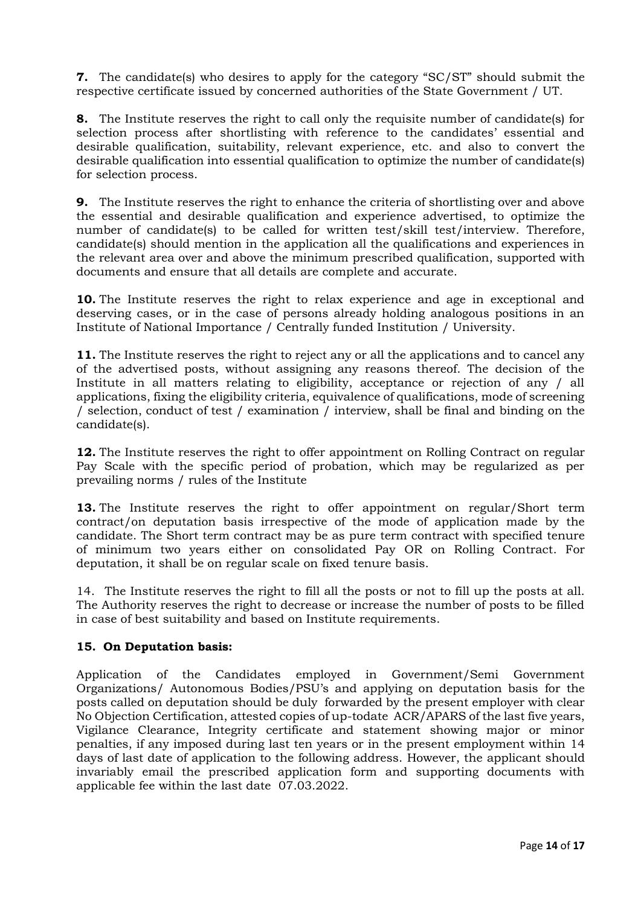**7.** The candidate(s) who desires to apply for the category "SC/ST" should submit the respective certificate issued by concerned authorities of the State Government / UT.

**8.** The Institute reserves the right to call only the requisite number of candidate(s) for selection process after shortlisting with reference to the candidates' essential and desirable qualification, suitability, relevant experience, etc. and also to convert the desirable qualification into essential qualification to optimize the number of candidate(s) for selection process.

**9.** The Institute reserves the right to enhance the criteria of shortlisting over and above the essential and desirable qualification and experience advertised, to optimize the number of candidate(s) to be called for written test/skill test/interview. Therefore, candidate(s) should mention in the application all the qualifications and experiences in the relevant area over and above the minimum prescribed qualification, supported with documents and ensure that all details are complete and accurate.

**10.** The Institute reserves the right to relax experience and age in exceptional and deserving cases, or in the case of persons already holding analogous positions in an Institute of National Importance / Centrally funded Institution / University.

**11.** The Institute reserves the right to reject any or all the applications and to cancel any of the advertised posts, without assigning any reasons thereof. The decision of the Institute in all matters relating to eligibility, acceptance or rejection of any / all applications, fixing the eligibility criteria, equivalence of qualifications, mode of screening / selection, conduct of test / examination / interview, shall be final and binding on the candidate(s).

**12.** The Institute reserves the right to offer appointment on Rolling Contract on regular Pay Scale with the specific period of probation, which may be regularized as per prevailing norms / rules of the Institute

**13.** The Institute reserves the right to offer appointment on regular/Short term contract/on deputation basis irrespective of the mode of application made by the candidate. The Short term contract may be as pure term contract with specified tenure of minimum two years either on consolidated Pay OR on Rolling Contract. For deputation, it shall be on regular scale on fixed tenure basis.

14. The Institute reserves the right to fill all the posts or not to fill up the posts at all. The Authority reserves the right to decrease or increase the number of posts to be filled in case of best suitability and based on Institute requirements.

## **15. On Deputation basis:**

Application of the Candidates employed in Government/Semi Government Organizations/ Autonomous Bodies/PSU's and applying on deputation basis for the posts called on deputation should be duly forwarded by the present employer with clear No Objection Certification, attested copies of up-todate ACR/APARS of the last five years, Vigilance Clearance, Integrity certificate and statement showing major or minor penalties, if any imposed during last ten years or in the present employment within 14 days of last date of application to the following address. However, the applicant should invariably email the prescribed application form and supporting documents with applicable fee within the last date 07.03.2022.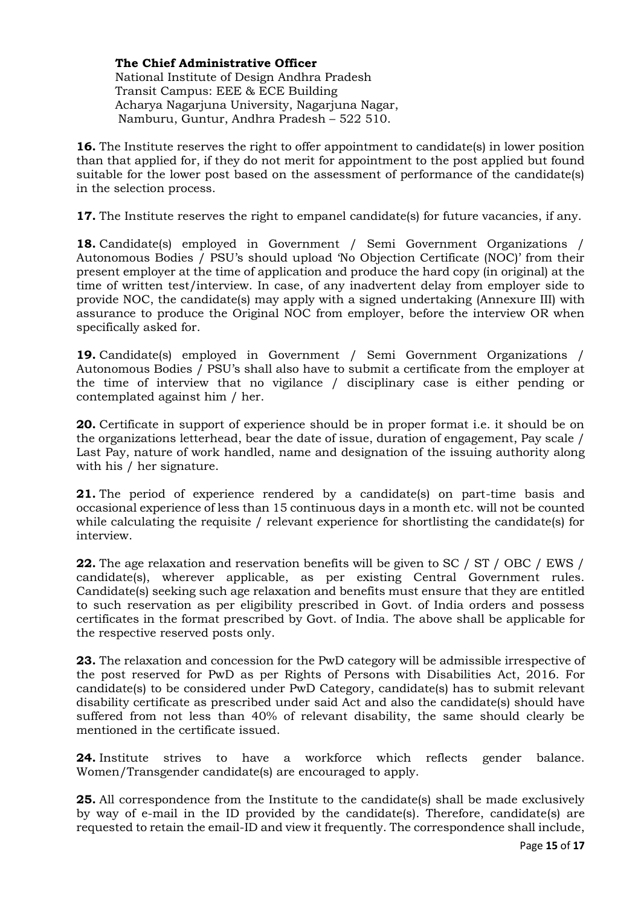**The Chief Administrative Officer** National Institute of Design Andhra Pradesh Transit Campus: EEE & ECE Building Acharya Nagarjuna University, Nagarjuna Nagar, Namburu, Guntur, Andhra Pradesh – 522 510.

**16.** The Institute reserves the right to offer appointment to candidate(s) in lower position than that applied for, if they do not merit for appointment to the post applied but found suitable for the lower post based on the assessment of performance of the candidate(s) in the selection process.

**17.** The Institute reserves the right to empanel candidate(s) for future vacancies, if any.

**18.** Candidate(s) employed in Government / Semi Government Organizations / Autonomous Bodies / PSU's should upload 'No Objection Certificate (NOC)' from their present employer at the time of application and produce the hard copy (in original) at the time of written test/interview. In case, of any inadvertent delay from employer side to provide NOC, the candidate(s) may apply with a signed undertaking (Annexure III) with assurance to produce the Original NOC from employer, before the interview OR when specifically asked for.

**19.** Candidate(s) employed in Government / Semi Government Organizations / Autonomous Bodies / PSU's shall also have to submit a certificate from the employer at the time of interview that no vigilance / disciplinary case is either pending or contemplated against him / her.

**20.** Certificate in support of experience should be in proper format i.e. it should be on the organizations letterhead, bear the date of issue, duration of engagement, Pay scale / Last Pay, nature of work handled, name and designation of the issuing authority along with his / her signature.

**21.** The period of experience rendered by a candidate(s) on part-time basis and occasional experience of less than 15 continuous days in a month etc. will not be counted while calculating the requisite / relevant experience for shortlisting the candidate(s) for interview.

**22.** The age relaxation and reservation benefits will be given to SC / ST / OBC / EWS / candidate(s), wherever applicable, as per existing Central Government rules. Candidate(s) seeking such age relaxation and benefits must ensure that they are entitled to such reservation as per eligibility prescribed in Govt. of India orders and possess certificates in the format prescribed by Govt. of India. The above shall be applicable for the respective reserved posts only.

**23.** The relaxation and concession for the PwD category will be admissible irrespective of the post reserved for PwD as per Rights of Persons with Disabilities Act, 2016. For candidate(s) to be considered under PwD Category, candidate(s) has to submit relevant disability certificate as prescribed under said Act and also the candidate(s) should have suffered from not less than 40% of relevant disability, the same should clearly be mentioned in the certificate issued.

**24.** Institute strives to have a workforce which reflects gender balance. Women/Transgender candidate(s) are encouraged to apply.

**25.** All correspondence from the Institute to the candidate(s) shall be made exclusively by way of e-mail in the ID provided by the candidate(s). Therefore, candidate(s) are requested to retain the email-ID and view it frequently. The correspondence shall include,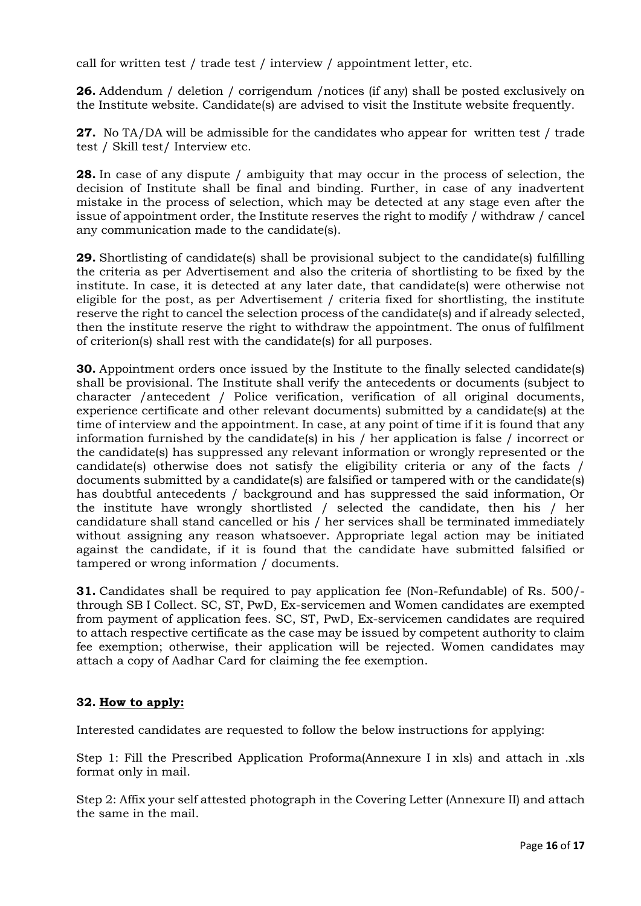call for written test / trade test / interview / appointment letter, etc.

**26.** Addendum / deletion / corrigendum /notices (if any) shall be posted exclusively on the Institute website. Candidate(s) are advised to visit the Institute website frequently.

**27.** No TA/DA will be admissible for the candidates who appear for written test / trade test / Skill test/ Interview etc.

**28.** In case of any dispute / ambiguity that may occur in the process of selection, the decision of Institute shall be final and binding. Further, in case of any inadvertent mistake in the process of selection, which may be detected at any stage even after the issue of appointment order, the Institute reserves the right to modify / withdraw / cancel any communication made to the candidate(s).

**29.** Shortlisting of candidate(s) shall be provisional subject to the candidate(s) fulfilling the criteria as per Advertisement and also the criteria of shortlisting to be fixed by the institute. In case, it is detected at any later date, that candidate(s) were otherwise not eligible for the post, as per Advertisement / criteria fixed for shortlisting, the institute reserve the right to cancel the selection process of the candidate(s) and if already selected, then the institute reserve the right to withdraw the appointment. The onus of fulfilment of criterion(s) shall rest with the candidate(s) for all purposes.

**30.** Appointment orders once issued by the Institute to the finally selected candidate(s) shall be provisional. The Institute shall verify the antecedents or documents (subject to character /antecedent / Police verification, verification of all original documents, experience certificate and other relevant documents) submitted by a candidate(s) at the time of interview and the appointment. In case, at any point of time if it is found that any information furnished by the candidate(s) in his / her application is false / incorrect or the candidate(s) has suppressed any relevant information or wrongly represented or the candidate(s) otherwise does not satisfy the eligibility criteria or any of the facts / documents submitted by a candidate(s) are falsified or tampered with or the candidate(s) has doubtful antecedents / background and has suppressed the said information, Or the institute have wrongly shortlisted / selected the candidate, then his / her candidature shall stand cancelled or his / her services shall be terminated immediately without assigning any reason whatsoever. Appropriate legal action may be initiated against the candidate, if it is found that the candidate have submitted falsified or tampered or wrong information / documents.

**31.** Candidates shall be required to pay application fee (Non-Refundable) of Rs. 500/through SB I Collect. SC, ST, PwD, Ex-servicemen and Women candidates are exempted from payment of application fees. SC, ST, PwD, Ex-servicemen candidates are required to attach respective certificate as the case may be issued by competent authority to claim fee exemption; otherwise, their application will be rejected. Women candidates may attach a copy of Aadhar Card for claiming the fee exemption.

## **32. How to apply:**

Interested candidates are requested to follow the below instructions for applying:

Step 1: Fill the Prescribed Application Proforma(Annexure I in xls) and attach in .xls format only in mail.

Step 2: Affix your self attested photograph in the Covering Letter (Annexure II) and attach the same in the mail.